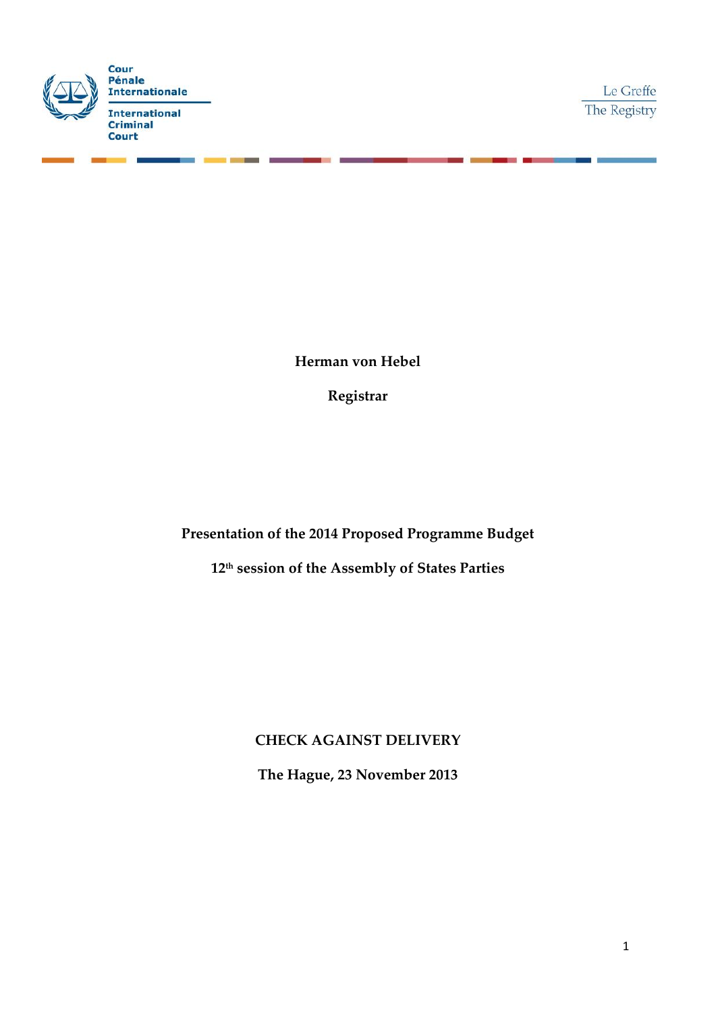

Le Greffe The Registry

**Herman von Hebel**

**Registrar**

**Presentation of the 2014 Proposed Programme Budget**

**12th session of the Assembly of States Parties**

**CHECK AGAINST DELIVERY**

**The Hague, 23 November 2013**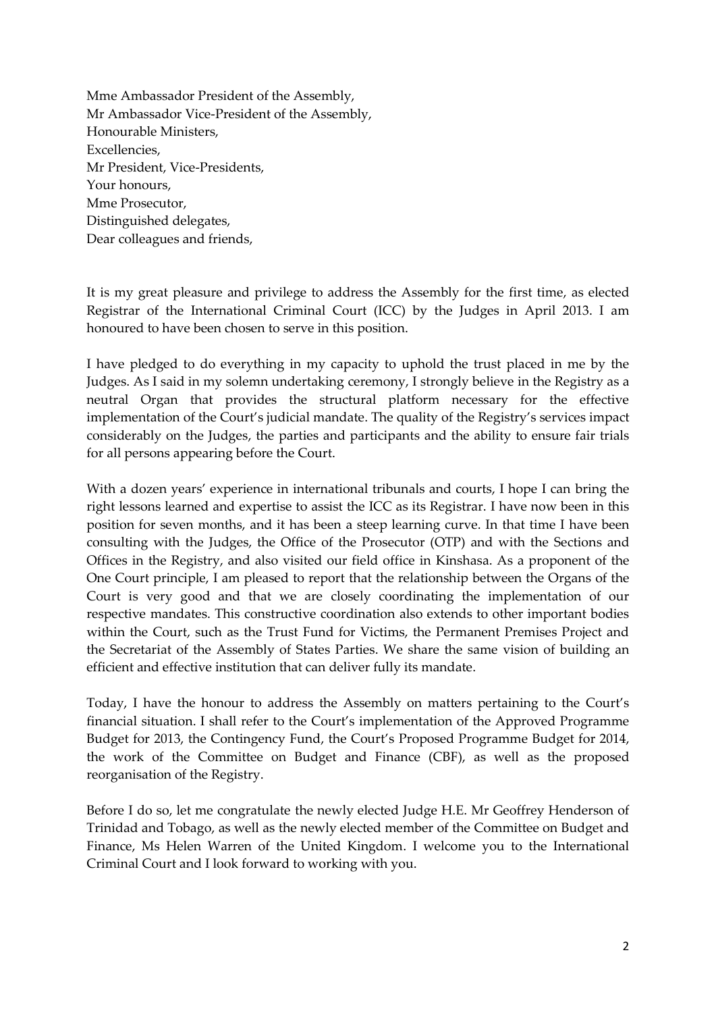Mme Ambassador President of the Assembly, Mr Ambassador Vice-President of the Assembly, Honourable Ministers, Excellencies, Mr President, Vice-Presidents, Your honours, Mme Prosecutor, Distinguished delegates, Dear colleagues and friends,

It is my great pleasure and privilege to address the Assembly for the first time, as elected Registrar of the International Criminal Court (ICC) by the Judges in April 2013. I am honoured to have been chosen to serve in this position.

I have pledged to do everything in my capacity to uphold the trust placed in me by the Judges. As I said in my solemn undertaking ceremony, I strongly believe in the Registry as a neutral Organ that provides the structural platform necessary for the effective implementation of the Court's judicial mandate. The quality of the Registry's services impact considerably on the Judges, the parties and participants and the ability to ensure fair trials for all persons appearing before the Court.

With a dozen years' experience in international tribunals and courts, I hope I can bring the right lessons learned and expertise to assist the ICC as its Registrar. I have now been in this position for seven months, and it has been a steep learning curve. In that time I have been consulting with the Judges, the Office of the Prosecutor (OTP) and with the Sections and Offices in the Registry, and also visited our field office in Kinshasa. As a proponent of the One Court principle, I am pleased to report that the relationship between the Organs of the Court is very good and that we are closely coordinating the implementation of our respective mandates. This constructive coordination also extends to other important bodies within the Court, such as the Trust Fund for Victims, the Permanent Premises Project and the Secretariat of the Assembly of States Parties. We share the same vision of building an efficient and effective institution that can deliver fully its mandate.

Today, I have the honour to address the Assembly on matters pertaining to the Court's financial situation. I shall refer to the Court's implementation of the Approved Programme Budget for 2013, the Contingency Fund, the Court's Proposed Programme Budget for 2014, the work of the Committee on Budget and Finance (CBF), as well as the proposed reorganisation of the Registry.

Before I do so, let me congratulate the newly elected Judge H.E. Mr Geoffrey Henderson of Trinidad and Tobago, as well as the newly elected member of the Committee on Budget and Finance, Ms Helen Warren of the United Kingdom. I welcome you to the International Criminal Court and I look forward to working with you.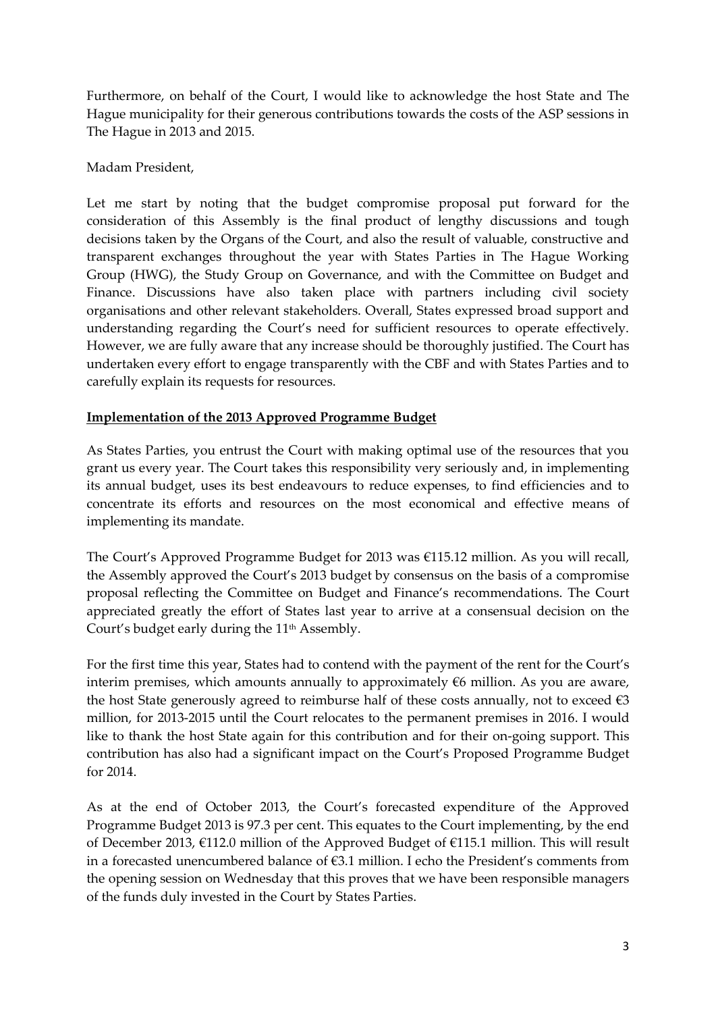Furthermore, on behalf of the Court, I would like to acknowledge the host State and The Hague municipality for their generous contributions towards the costs of the ASP sessions in The Hague in 2013 and 2015.

# Madam President,

Let me start by noting that the budget compromise proposal put forward for the consideration of this Assembly is the final product of lengthy discussions and tough decisions taken by the Organs of the Court, and also the result of valuable, constructive and transparent exchanges throughout the year with States Parties in The Hague Working Group (HWG), the Study Group on Governance, and with the Committee on Budget and Finance. Discussions have also taken place with partners including civil society organisations and other relevant stakeholders. Overall, States expressed broad support and understanding regarding the Court's need for sufficient resources to operate effectively. However, we are fully aware that any increase should be thoroughly justified. The Court has undertaken every effort to engage transparently with the CBF and with States Parties and to carefully explain its requests for resources.

### **Implementation of the 2013 Approved Programme Budget**

As States Parties, you entrust the Court with making optimal use of the resources that you grant us every year. The Court takes this responsibility very seriously and, in implementing its annual budget, uses its best endeavours to reduce expenses, to find efficiencies and to concentrate its efforts and resources on the most economical and effective means of implementing its mandate.

The Court's Approved Programme Budget for 2013 was €115.12 million. As you will recall, the Assembly approved the Court's 2013 budget by consensus on the basis of a compromise proposal reflecting the Committee on Budget and Finance's recommendations. The Court appreciated greatly the effort of States last year to arrive at a consensual decision on the Court's budget early during the 11<sup>th</sup> Assembly.

For the first time this year, States had to contend with the payment of the rent for the Court's interim premises, which amounts annually to approximately  $€6$  million. As you are aware, the host State generously agreed to reimburse half of these costs annually, not to exceed  $\epsilon$ 3 million, for 2013-2015 until the Court relocates to the permanent premises in 2016. I would like to thank the host State again for this contribution and for their on-going support. This contribution has also had a significant impact on the Court's Proposed Programme Budget for 2014.

As at the end of October 2013, the Court's forecasted expenditure of the Approved Programme Budget 2013 is 97.3 per cent. This equates to the Court implementing, by the end of December 2013, €112.0 million of the Approved Budget of €115.1 million. This will result in a forecasted unencumbered balance of €3.1 million. I echo the President's comments from the opening session on Wednesday that this proves that we have been responsible managers of the funds duly invested in the Court by States Parties.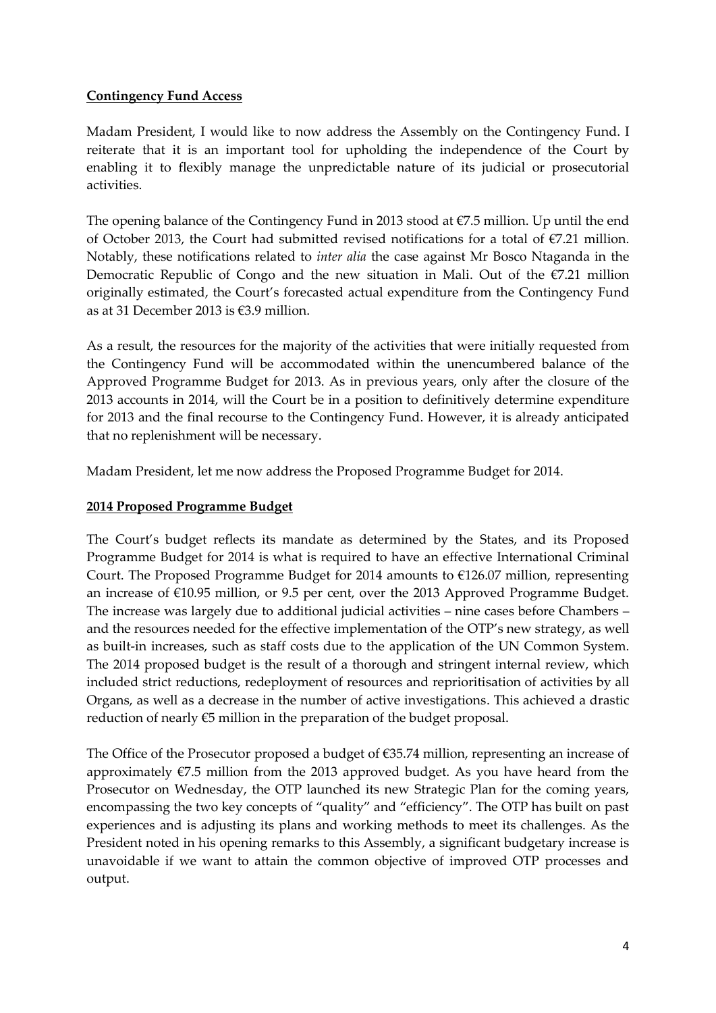### **Contingency Fund Access**

Madam President, I would like to now address the Assembly on the Contingency Fund. I reiterate that it is an important tool for upholding the independence of the Court by enabling it to flexibly manage the unpredictable nature of its judicial or prosecutorial activities.

The opening balance of the Contingency Fund in 2013 stood at  $\epsilon$ 7.5 million. Up until the end of October 2013, the Court had submitted revised notifications for a total of €7.21 million. Notably, these notifications related to *inter alia* the case against Mr Bosco Ntaganda in the Democratic Republic of Congo and the new situation in Mali. Out of the  $E$ 7.21 million originally estimated, the Court's forecasted actual expenditure from the Contingency Fund as at 31 December 2013 is €3.9 million.

As a result, the resources for the majority of the activities that were initially requested from the Contingency Fund will be accommodated within the unencumbered balance of the Approved Programme Budget for 2013. As in previous years, only after the closure of the 2013 accounts in 2014, will the Court be in a position to definitively determine expenditure for 2013 and the final recourse to the Contingency Fund. However, it is already anticipated that no replenishment will be necessary.

Madam President, let me now address the Proposed Programme Budget for 2014.

### **2014 Proposed Programme Budget**

The Court's budget reflects its mandate as determined by the States, and its Proposed Programme Budget for 2014 is what is required to have an effective International Criminal Court. The Proposed Programme Budget for 2014 amounts to  $\epsilon$ 126.07 million, representing an increase of €10.95 million, or 9.5 per cent, over the 2013 Approved Programme Budget. The increase was largely due to additional judicial activities – nine cases before Chambers – and the resources needed for the effective implementation of the OTP's new strategy, as well as built-in increases, such as staff costs due to the application of the UN Common System. The 2014 proposed budget is the result of a thorough and stringent internal review, which included strict reductions, redeployment of resources and reprioritisation of activities by all Organs, as well as a decrease in the number of active investigations. This achieved a drastic reduction of nearly  $E_5$  million in the preparation of the budget proposal.

The Office of the Prosecutor proposed a budget of €35.74 million, representing an increase of approximately  $\epsilon$ 7.5 million from the 2013 approved budget. As you have heard from the Prosecutor on Wednesday, the OTP launched its new Strategic Plan for the coming years, encompassing the two key concepts of "quality" and "efficiency". The OTP has built on past experiences and is adjusting its plans and working methods to meet its challenges. As the President noted in his opening remarks to this Assembly, a significant budgetary increase is unavoidable if we want to attain the common objective of improved OTP processes and output.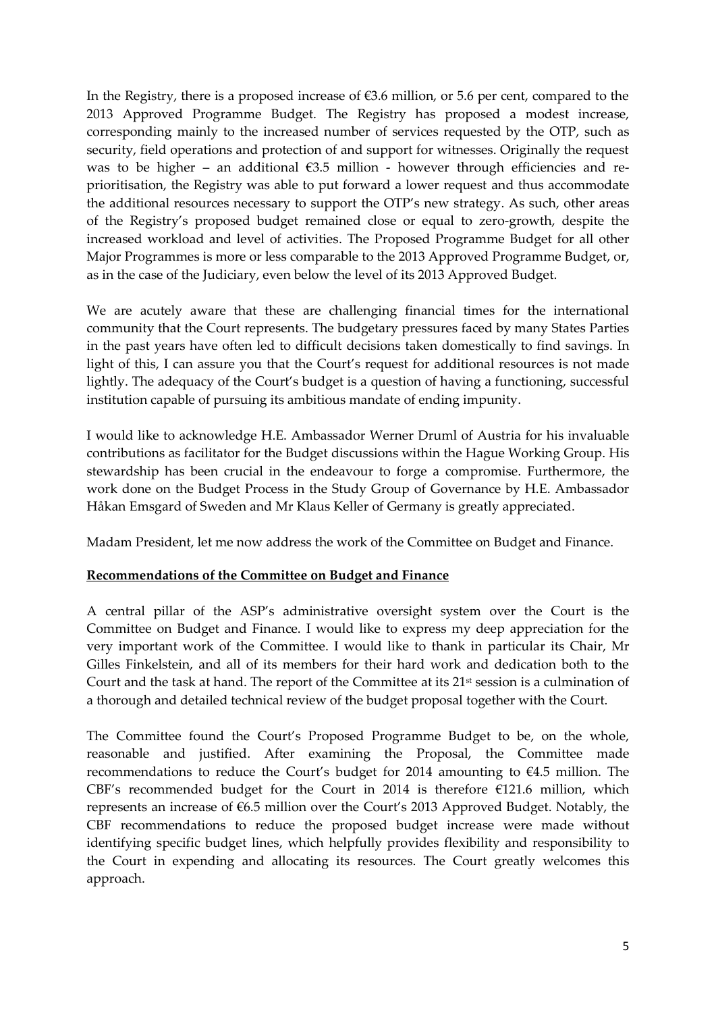In the Registry, there is a proposed increase of  $\epsilon$ 3.6 million, or 5.6 per cent, compared to the 2013 Approved Programme Budget. The Registry has proposed a modest increase, corresponding mainly to the increased number of services requested by the OTP, such as security, field operations and protection of and support for witnesses. Originally the request was to be higher – an additional  $\epsilon$ 3.5 million - however through efficiencies and reprioritisation, the Registry was able to put forward a lower request and thus accommodate the additional resources necessary to support the OTP's new strategy. As such, other areas of the Registry's proposed budget remained close or equal to zero-growth, despite the increased workload and level of activities. The Proposed Programme Budget for all other Major Programmes is more or less comparable to the 2013 Approved Programme Budget, or, as in the case of the Judiciary, even below the level of its 2013 Approved Budget.

We are acutely aware that these are challenging financial times for the international community that the Court represents. The budgetary pressures faced by many States Parties in the past years have often led to difficult decisions taken domestically to find savings. In light of this, I can assure you that the Court's request for additional resources is not made lightly. The adequacy of the Court's budget is a question of having a functioning, successful institution capable of pursuing its ambitious mandate of ending impunity.

I would like to acknowledge H.E. Ambassador Werner Druml of Austria for his invaluable contributions as facilitator for the Budget discussions within the Hague Working Group. His stewardship has been crucial in the endeavour to forge a compromise. Furthermore, the work done on the Budget Process in the Study Group of Governance by H.E. Ambassador Håkan Emsgard of Sweden and Mr Klaus Keller of Germany is greatly appreciated.

Madam President, let me now address the work of the Committee on Budget and Finance.

# **Recommendations of the Committee on Budget and Finance**

A central pillar of the ASP's administrative oversight system over the Court is the Committee on Budget and Finance. I would like to express my deep appreciation for the very important work of the Committee. I would like to thank in particular its Chair, Mr Gilles Finkelstein, and all of its members for their hard work and dedication both to the Court and the task at hand. The report of the Committee at its 21<sup>st</sup> session is a culmination of a thorough and detailed technical review of the budget proposal together with the Court.

The Committee found the Court's Proposed Programme Budget to be, on the whole, reasonable and justified. After examining the Proposal, the Committee made recommendations to reduce the Court's budget for 2014 amounting to  $\epsilon$ 4.5 million. The CBF's recommended budget for the Court in 2014 is therefore  $E121.6$  million, which represents an increase of €6.5 million over the Court's 2013 Approved Budget. Notably, the CBF recommendations to reduce the proposed budget increase were made without identifying specific budget lines, which helpfully provides flexibility and responsibility to the Court in expending and allocating its resources. The Court greatly welcomes this approach.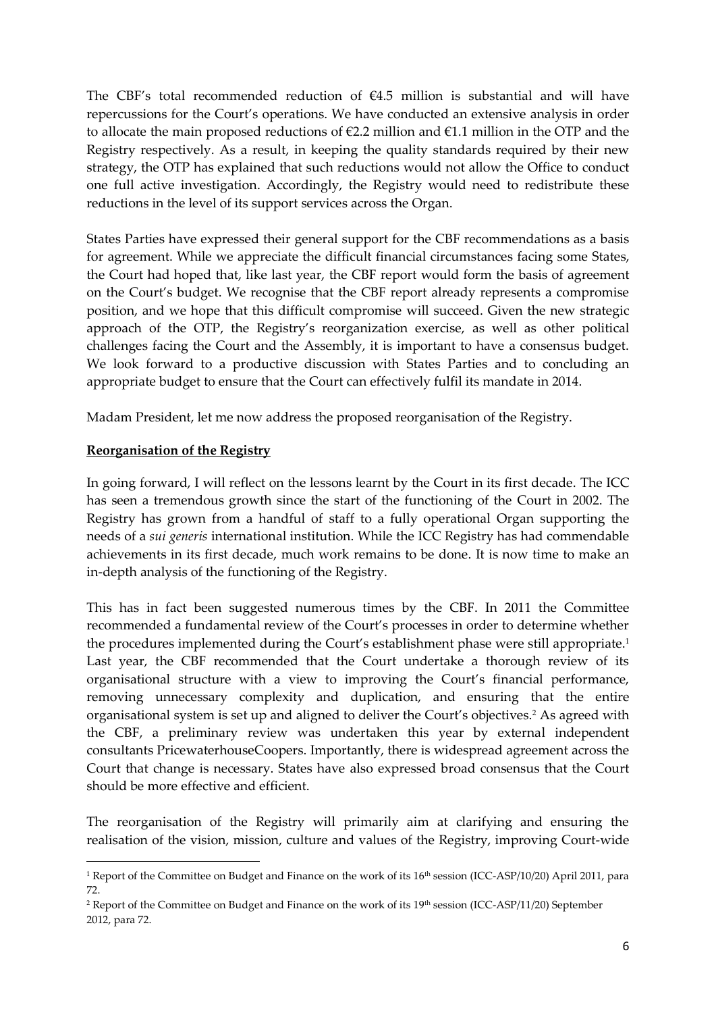The CBF's total recommended reduction of  $E4.5$  million is substantial and will have repercussions for the Court's operations. We have conducted an extensive analysis in order to allocate the main proposed reductions of  $\epsilon$ 2.2 million and  $\epsilon$ 1.1 million in the OTP and the Registry respectively. As a result, in keeping the quality standards required by their new strategy, the OTP has explained that such reductions would not allow the Office to conduct one full active investigation. Accordingly, the Registry would need to redistribute these reductions in the level of its support services across the Organ.

States Parties have expressed their general support for the CBF recommendations as a basis for agreement. While we appreciate the difficult financial circumstances facing some States, the Court had hoped that, like last year, the CBF report would form the basis of agreement on the Court's budget. We recognise that the CBF report already represents a compromise position, and we hope that this difficult compromise will succeed. Given the new strategic approach of the OTP, the Registry's reorganization exercise, as well as other political challenges facing the Court and the Assembly, it is important to have a consensus budget. We look forward to a productive discussion with States Parties and to concluding an appropriate budget to ensure that the Court can effectively fulfil its mandate in 2014.

Madam President, let me now address the proposed reorganisation of the Registry.

# **Reorganisation of the Registry**

**.** 

In going forward, I will reflect on the lessons learnt by the Court in its first decade. The ICC has seen a tremendous growth since the start of the functioning of the Court in 2002. The Registry has grown from a handful of staff to a fully operational Organ supporting the needs of a *sui generis* international institution. While the ICC Registry has had commendable achievements in its first decade, much work remains to be done. It is now time to make an in-depth analysis of the functioning of the Registry.

This has in fact been suggested numerous times by the CBF. In 2011 the Committee recommended a fundamental review of the Court's processes in order to determine whether the procedures implemented during the Court's establishment phase were still appropriate.<sup>1</sup> Last year, the CBF recommended that the Court undertake a thorough review of its organisational structure with a view to improving the Court's financial performance, removing unnecessary complexity and duplication, and ensuring that the entire organisational system is set up and aligned to deliver the Court's objectives.<sup>2</sup> As agreed with the CBF, a preliminary review was undertaken this year by external independent consultants PricewaterhouseCoopers. Importantly, there is widespread agreement across the Court that change is necessary. States have also expressed broad consensus that the Court should be more effective and efficient.

The reorganisation of the Registry will primarily aim at clarifying and ensuring the realisation of the vision, mission, culture and values of the Registry, improving Court-wide

<sup>&</sup>lt;sup>1</sup> Report of the Committee on Budget and Finance on the work of its  $16<sup>th</sup>$  session (ICC-ASP/10/20) April 2011, para 72.

<sup>&</sup>lt;sup>2</sup> Report of the Committee on Budget and Finance on the work of its 19<sup>th</sup> session (ICC-ASP/11/20) September 2012, para 72.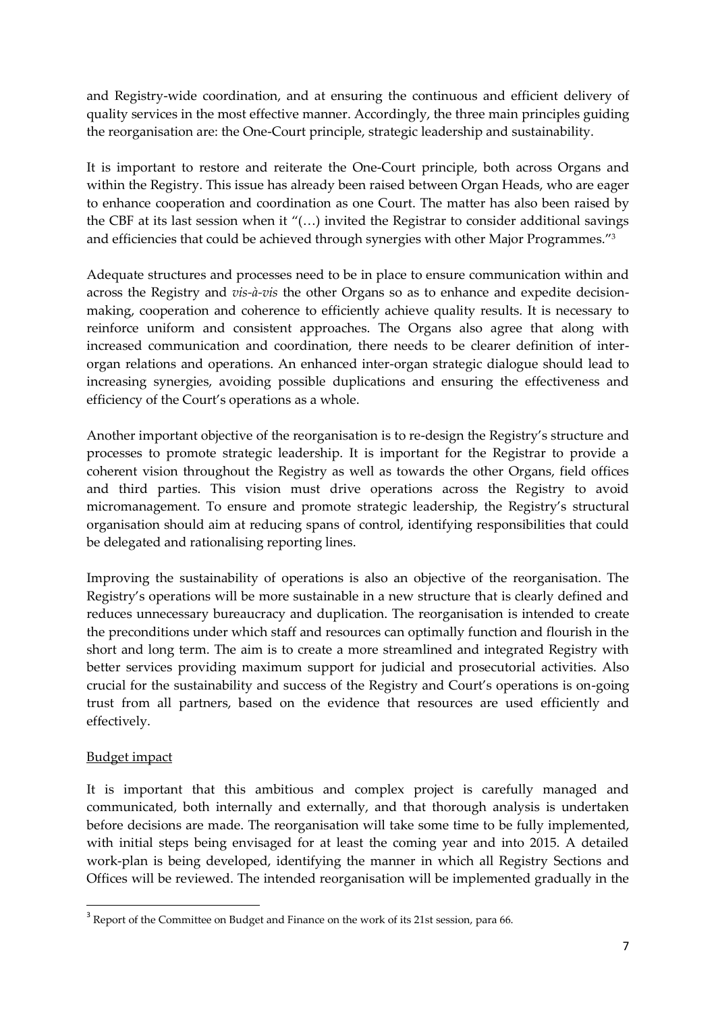and Registry-wide coordination, and at ensuring the continuous and efficient delivery of quality services in the most effective manner. Accordingly, the three main principles guiding the reorganisation are: the One-Court principle, strategic leadership and sustainability.

It is important to restore and reiterate the One-Court principle, both across Organs and within the Registry. This issue has already been raised between Organ Heads, who are eager to enhance cooperation and coordination as one Court. The matter has also been raised by the CBF at its last session when it "(…) invited the Registrar to consider additional savings and efficiencies that could be achieved through synergies with other Major Programmes."<sup>3</sup>

Adequate structures and processes need to be in place to ensure communication within and across the Registry and *vis-à-vis* the other Organs so as to enhance and expedite decisionmaking, cooperation and coherence to efficiently achieve quality results. It is necessary to reinforce uniform and consistent approaches. The Organs also agree that along with increased communication and coordination, there needs to be clearer definition of interorgan relations and operations. An enhanced inter-organ strategic dialogue should lead to increasing synergies, avoiding possible duplications and ensuring the effectiveness and efficiency of the Court's operations as a whole.

Another important objective of the reorganisation is to re-design the Registry's structure and processes to promote strategic leadership. It is important for the Registrar to provide a coherent vision throughout the Registry as well as towards the other Organs, field offices and third parties. This vision must drive operations across the Registry to avoid micromanagement. To ensure and promote strategic leadership, the Registry's structural organisation should aim at reducing spans of control, identifying responsibilities that could be delegated and rationalising reporting lines.

Improving the sustainability of operations is also an objective of the reorganisation. The Registry's operations will be more sustainable in a new structure that is clearly defined and reduces unnecessary bureaucracy and duplication. The reorganisation is intended to create the preconditions under which staff and resources can optimally function and flourish in the short and long term. The aim is to create a more streamlined and integrated Registry with better services providing maximum support for judicial and prosecutorial activities. Also crucial for the sustainability and success of the Registry and Court's operations is on-going trust from all partners, based on the evidence that resources are used efficiently and effectively.

# Budget impact

**.** 

It is important that this ambitious and complex project is carefully managed and communicated, both internally and externally, and that thorough analysis is undertaken before decisions are made. The reorganisation will take some time to be fully implemented, with initial steps being envisaged for at least the coming year and into 2015. A detailed work-plan is being developed, identifying the manner in which all Registry Sections and Offices will be reviewed. The intended reorganisation will be implemented gradually in the

 $3$  Report of the Committee on Budget and Finance on the work of its 21st session, para 66.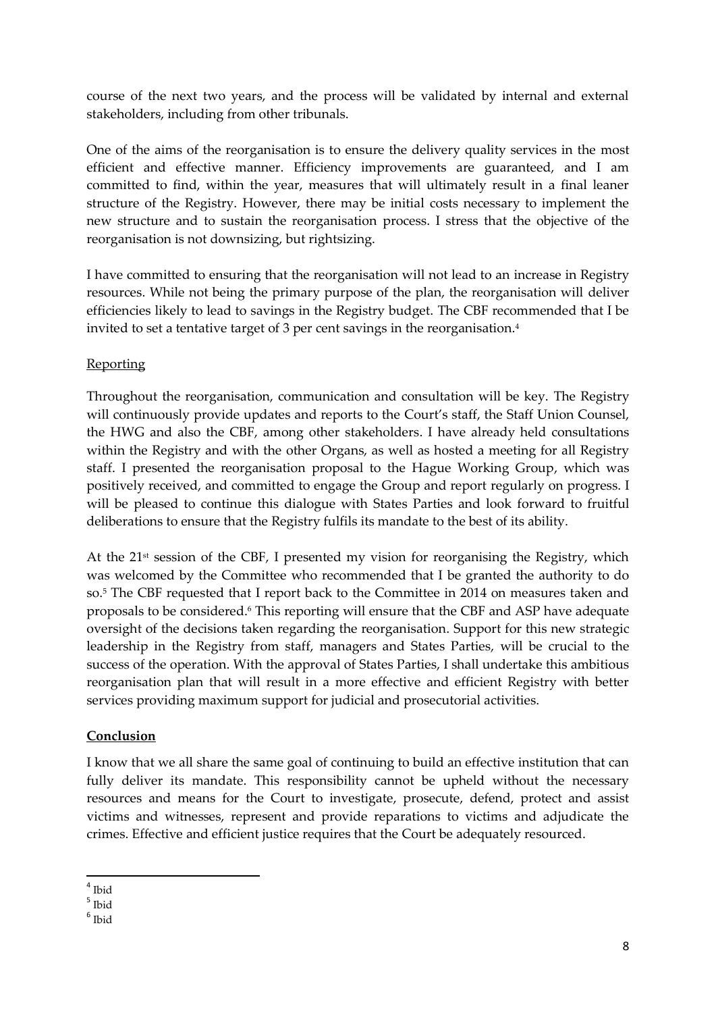course of the next two years, and the process will be validated by internal and external stakeholders, including from other tribunals.

One of the aims of the reorganisation is to ensure the delivery quality services in the most efficient and effective manner. Efficiency improvements are guaranteed, and I am committed to find, within the year, measures that will ultimately result in a final leaner structure of the Registry. However, there may be initial costs necessary to implement the new structure and to sustain the reorganisation process. I stress that the objective of the reorganisation is not downsizing, but rightsizing.

I have committed to ensuring that the reorganisation will not lead to an increase in Registry resources. While not being the primary purpose of the plan, the reorganisation will deliver efficiencies likely to lead to savings in the Registry budget. The CBF recommended that I be invited to set a tentative target of 3 per cent savings in the reorganisation.<sup>4</sup>

# Reporting

Throughout the reorganisation, communication and consultation will be key. The Registry will continuously provide updates and reports to the Court's staff, the Staff Union Counsel, the HWG and also the CBF, among other stakeholders. I have already held consultations within the Registry and with the other Organs, as well as hosted a meeting for all Registry staff. I presented the reorganisation proposal to the Hague Working Group, which was positively received, and committed to engage the Group and report regularly on progress. I will be pleased to continue this dialogue with States Parties and look forward to fruitful deliberations to ensure that the Registry fulfils its mandate to the best of its ability.

At the  $21^{st}$  session of the CBF, I presented my vision for reorganising the Registry, which was welcomed by the Committee who recommended that I be granted the authority to do so.<sup>5</sup> The CBF requested that I report back to the Committee in 2014 on measures taken and proposals to be considered.<sup>6</sup> This reporting will ensure that the CBF and ASP have adequate oversight of the decisions taken regarding the reorganisation. Support for this new strategic leadership in the Registry from staff, managers and States Parties, will be crucial to the success of the operation. With the approval of States Parties, I shall undertake this ambitious reorganisation plan that will result in a more effective and efficient Registry with better services providing maximum support for judicial and prosecutorial activities.

# **Conclusion**

I know that we all share the same goal of continuing to build an effective institution that can fully deliver its mandate. This responsibility cannot be upheld without the necessary resources and means for the Court to investigate, prosecute, defend, protect and assist victims and witnesses, represent and provide reparations to victims and adjudicate the crimes. Effective and efficient justice requires that the Court be adequately resourced.

 4 Ibid

<sup>5</sup> Ibid

<sup>6</sup> Ibid